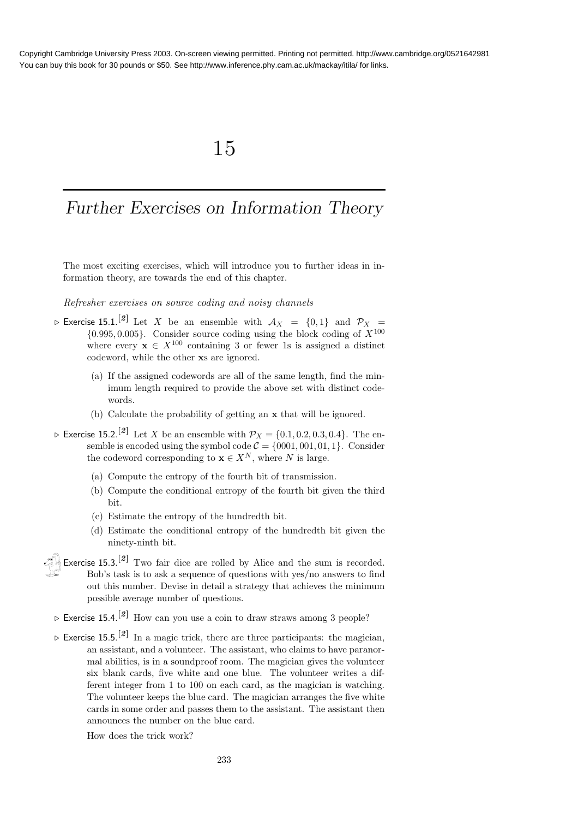## 15

# Further Exercises on Information Theory

The most exciting exercises, which will introduce you to further ideas in information theory, are towards the end of this chapter.

Refresher exercises on source coding and noisy channels

- $\triangleright$  Exercise 15.1.<sup>[2]</sup> Let X be an ensemble with  $A_X = \{0,1\}$  and  $\mathcal{P}_X =$  $\{0.995, 0.005\}$ . Consider source coding using the block coding of  $X^{100}$ where every  $\mathbf{x} \in X^{100}$  containing 3 or fewer 1s is assigned a distinct codeword, while the other xs are ignored.
	- (a) If the assigned codewords are all of the same length, find the minimum length required to provide the above set with distinct codewords.
	- (b) Calculate the probability of getting an x that will be ignored.
- $\triangleright$  Exercise 15.2.<sup>[2]</sup> Let X be an ensemble with  $\mathcal{P}_X = \{0.1, 0.2, 0.3, 0.4\}$ . The ensemble is encoded using the symbol code  $C = \{0001, 001, 01, 1\}$ . Consider the codeword corresponding to  $\mathbf{x} \in X^N$ , where N is large.
	- (a) Compute the entropy of the fourth bit of transmission.
	- (b) Compute the conditional entropy of the fourth bit given the third bit.
	- (c) Estimate the entropy of the hundredth bit.
	- (d) Estimate the conditional entropy of the hundredth bit given the ninety-ninth bit.
- Exercise  $15.3$ .<sup>[2]</sup> Two fair dice are rolled by Alice and the sum is recorded. Bob's task is to ask a sequence of questions with yes/no answers to find out this number. Devise in detail a strategy that achieves the minimum possible average number of questions.
- $\triangleright$  Exercise 15.4.<sup>[2]</sup> How can you use a coin to draw straws among 3 people?
- $\triangleright$  Exercise 15.5.<sup>[2]</sup> In a magic trick, there are three participants: the magician, an assistant, and a volunteer. The assistant, who claims to have paranormal abilities, is in a soundproof room. The magician gives the volunteer six blank cards, five white and one blue. The volunteer writes a different integer from 1 to 100 on each card, as the magician is watching. The volunteer keeps the blue card. The magician arranges the five white cards in some order and passes them to the assistant. The assistant then announces the number on the blue card.
	- How does the trick work?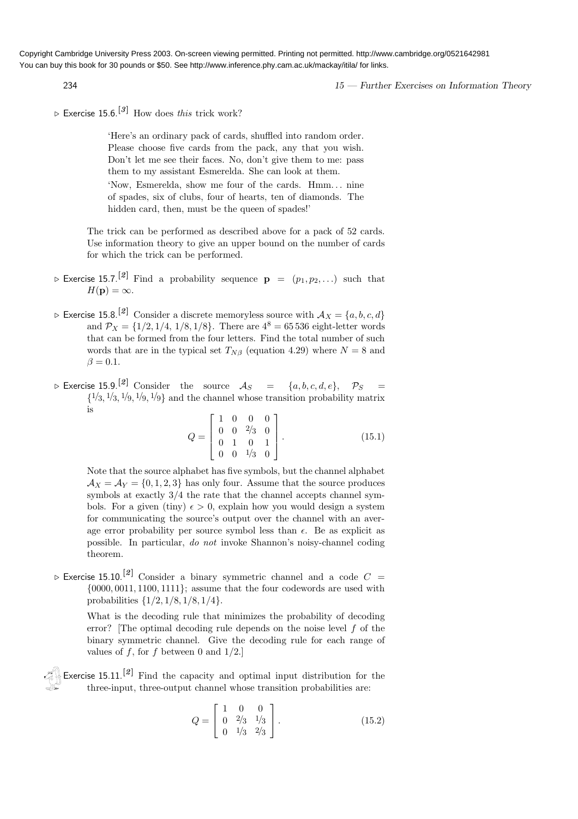234 234 15 — Further Exercises on Information Theory

 $\triangleright$  Exercise 15.6.<sup>[3]</sup> How does this trick work?

'Here's an ordinary pack of cards, shuffled into random order. Please choose five cards from the pack, any that you wish. Don't let me see their faces. No, don't give them to me: pass them to my assistant Esmerelda. She can look at them.

'Now, Esmerelda, show me four of the cards. Hmm. . . nine of spades, six of clubs, four of hearts, ten of diamonds. The hidden card, then, must be the queen of spades!'

The trick can be performed as described above for a pack of 52 cards. Use information theory to give an upper bound on the number of cards for which the trick can be performed.

- $\triangleright$  Exercise 15.7.<sup>[2]</sup> Find a probability sequence  $\mathbf{p} = (p_1, p_2, \ldots)$  such that  $H(\mathbf{p}) = \infty$ .
- $\triangleright$  Exercise 15.8.<sup>[2]</sup> Consider a discrete memoryless source with  $A_X = \{a, b, c, d\}$ and  $P_X = \{1/2, 1/4, 1/8, 1/8\}$ . There are  $4^8 = 65536$  eight-letter words that can be formed from the four letters. Find the total number of such words that are in the typical set  $T_{N\beta}$  (equation 4.29) where  $N = 8$  and  $\beta = 0.1$ .
- $\triangleright$  Exercise 15.9.<sup>[2]</sup> Consider the source  $\mathcal{A}_{S}$  = {a, b, c, d, e},  $\mathcal{P}_{S}$  =  $\{1/3, 1/3, 1/9, 1/9, 1/9\}$  and the channel whose transition probability matrix is

$$
Q = \begin{bmatrix} 1 & 0 & 0 & 0 \\ 0 & 0 & \frac{2}{3} & 0 \\ 0 & 1 & 0 & 1 \\ 0 & 0 & \frac{1}{3} & 0 \end{bmatrix} .
$$
 (15.1)

Note that the source alphabet has five symbols, but the channel alphabet  $\mathcal{A}_X = \mathcal{A}_Y = \{0, 1, 2, 3\}$  has only four. Assume that the source produces symbols at exactly 3/4 the rate that the channel accepts channel symbols. For a given (tiny)  $\epsilon > 0$ , explain how you would design a system for communicating the source's output over the channel with an average error probability per source symbol less than  $\epsilon$ . Be as explicit as possible. In particular, do not invoke Shannon's noisy-channel coding theorem.

 $\triangleright$  Exercise 15.10.<sup>[2]</sup> Consider a binary symmetric channel and a code  $C =$  $\{0000, 0011, 1100, 1111\};$  assume that the four codewords are used with probabilities  $\{1/2, 1/8, 1/8, 1/4\}.$ 

> What is the decoding rule that minimizes the probability of decoding error? [The optimal decoding rule depends on the noise level f of the binary symmetric channel. Give the decoding rule for each range of values of f, for f between 0 and  $1/2$ .

Exercise 15.11.<sup>[2]</sup> Find the capacity and optimal input distribution for the three-input, three-output channel whose transition probabilities are:

$$
Q = \begin{bmatrix} 1 & 0 & 0 \\ 0 & 2/3 & 1/3 \\ 0 & 1/3 & 2/3 \end{bmatrix} . \tag{15.2}
$$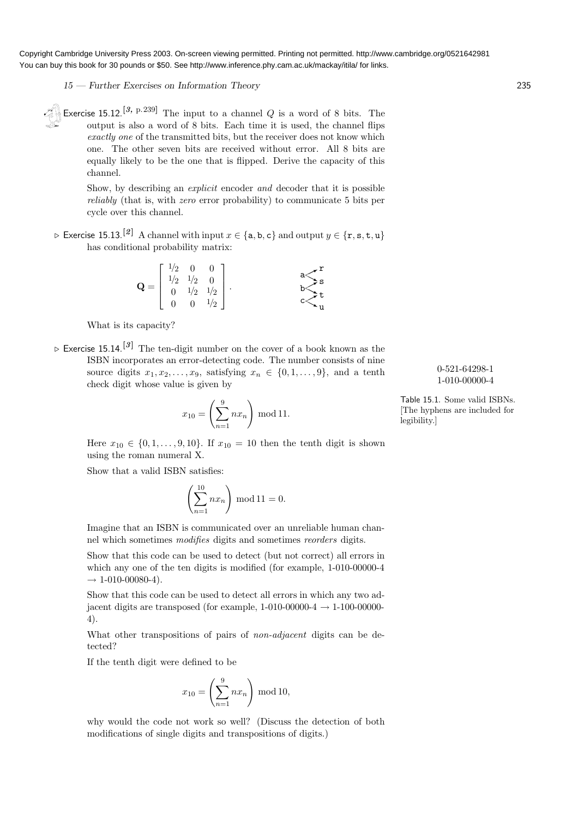15 — Further Exercises on Information Theory 235

Exercise 15.12.<sup>[3, p.239]</sup> The input to a channel  $Q$  is a word of 8 bits. The output is also a word of 8 bits. Each time it is used, the channel flips exactly one of the transmitted bits, but the receiver does not know which one. The other seven bits are received without error. All 8 bits are equally likely to be the one that is flipped. Derive the capacity of this channel.

> Show, by describing an explicit encoder and decoder that it is possible reliably (that is, with zero error probability) to communicate 5 bits per cycle over this channel.

⊳ Exercise 15.13.<sup>[2]</sup> A channel with input  $x \in \{a, b, c\}$  and output  $y \in \{r, s, t, u\}$ has conditional probability matrix:

$$
\mathbf{Q} = \begin{bmatrix} 1/2 & 0 & 0 \\ 1/2 & 1/2 & 0 \\ 0 & 1/2 & 1/2 \\ 0 & 0 & 1/2 \end{bmatrix} . \qquad \qquad \begin{array}{c} \mathbf{a} & \mathbf{r} \\ \mathbf{s} & \mathbf{s} \\ \mathbf{b} & \mathbf{t} \\ \mathbf{c} & \mathbf{u} \end{array}
$$

What is its capacity?

 $\triangleright$  Exercise 15.14.<sup>[3]</sup> The ten-digit number on the cover of a book known as the ISBN incorporates an error-detecting code. The number consists of nine source digits  $x_1, x_2, \ldots, x_9$ , satisfying  $x_n \in \{0, 1, \ldots, 9\}$ , and a tenth check digit whose value is given by

$$
x_{10} = \left(\sum_{n=1}^{9} nx_n\right) \bmod 11.
$$

Here  $x_{10} \in \{0, 1, ..., 9, 10\}$ . If  $x_{10} = 10$  then the tenth digit is shown using the roman numeral X.

Show that a valid ISBN satisfies:

$$
\left(\sum_{n=1}^{10} nx_n\right) \bmod 11 = 0.
$$

Imagine that an ISBN is communicated over an unreliable human channel which sometimes modifies digits and sometimes reorders digits.

Show that this code can be used to detect (but not correct) all errors in which any one of the ten digits is modified (for example, 1-010-00000-4  $\rightarrow 1 - 010 - 00080 - 4$ .

Show that this code can be used to detect all errors in which any two adjacent digits are transposed (for example,  $1-010-00000-4 \rightarrow 1-100-00000-4$ 4).

What other transpositions of pairs of *non-adjacent* digits can be detected?

If the tenth digit were defined to be

$$
x_{10} = \left(\sum_{n=1}^{9} nx_n\right) \bmod 10,
$$

why would the code not work so well? (Discuss the detection of both modifications of single digits and transpositions of digits.)

0-521-64298-1 1-010-00000-4

Table 15.1. Some valid ISBNs. [The hyphens are included for legibility.]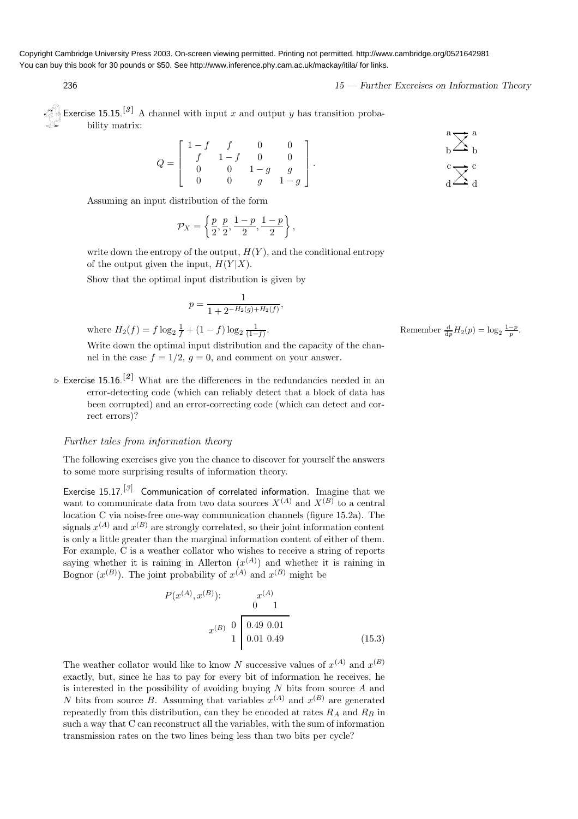236 236 15 — Further Exercises on Information Theory

Exercise 15.15.<sup>[3]</sup> A channel with input x and output y has transition probability matrix:

$$
Q = \begin{bmatrix} 1-f & f & 0 & 0 \\ f & 1-f & 0 & 0 \\ 0 & 0 & 1-g & g \\ 0 & 0 & g & 1-g \end{bmatrix}.
$$

Assuming an input distribution of the form

$$
\mathcal{P}_X = \left\{ \frac{p}{2}, \frac{p}{2}, \frac{1-p}{2}, \frac{1-p}{2} \right\},\,
$$

write down the entropy of the output,  $H(Y)$ , and the conditional entropy of the output given the input,  $H(Y|X)$ .

Show that the optimal input distribution is given by

$$
p = \frac{1}{1 + 2^{-H_2(g) + H_2(f)}},
$$

where  $H_2(f) = f \log_2 \frac{1}{f} + (1 - f) \log_2 \frac{1}{(1 - f)}$ 

Write down the optimal input distribution and the capacity of the channel in the case  $f = 1/2$ ,  $q = 0$ , and comment on your answer.

 $\triangleright$  Exercise 15.16.<sup>[2]</sup> What are the differences in the redundancies needed in an error-detecting code (which can reliably detect that a block of data has been corrupted) and an error-correcting code (which can detect and correct errors)?

#### Further tales from information theory

The following exercises give you the chance to discover for yourself the answers to some more surprising results of information theory.

Exercise 15.17.<sup>[3]</sup> Communication of correlated information. Imagine that we want to communicate data from two data sources  $X^{(A)}$  and  $X^{(B)}$  to a central location C via noise-free one-way communication channels (figure 15.2a). The signals  $x^{(A)}$  and  $x^{(B)}$  are strongly correlated, so their joint information content is only a little greater than the marginal information content of either of them. For example, C is a weather collator who wishes to receive a string of reports saying whether it is raining in Allerton  $(x^{(A)})$  and whether it is raining in Bognor  $(x^{(B)})$ . The joint probability of  $x^{(A)}$  and  $x^{(B)}$  might be

$$
P(x^{(A)}, x^{(B)}): \t 0 \t 1
$$
\n
$$
x^{(B)} \t 0 \t 0.49 \t 0.01
$$
\n
$$
1 \t 0.01 \t 0.49 \t (15.3)
$$
\n(15.3)

The weather collator would like to know N successive values of  $x^{(A)}$  and  $x^{(B)}$ exactly, but, since he has to pay for every bit of information he receives, he is interested in the possibility of avoiding buying  $N$  bits from source  $A$  and N bits from source B. Assuming that variables  $x^{(A)}$  and  $x^{(B)}$  are generated repeatedly from this distribution, can they be encoded at rates  $R_A$  and  $R_B$  in such a way that C can reconstruct all the variables, with the sum of information transmission rates on the two lines being less than two bits per cycle?

. Remember  $\frac{d}{dp}H_2(p) = \log_2 \frac{1-p}{p}$ .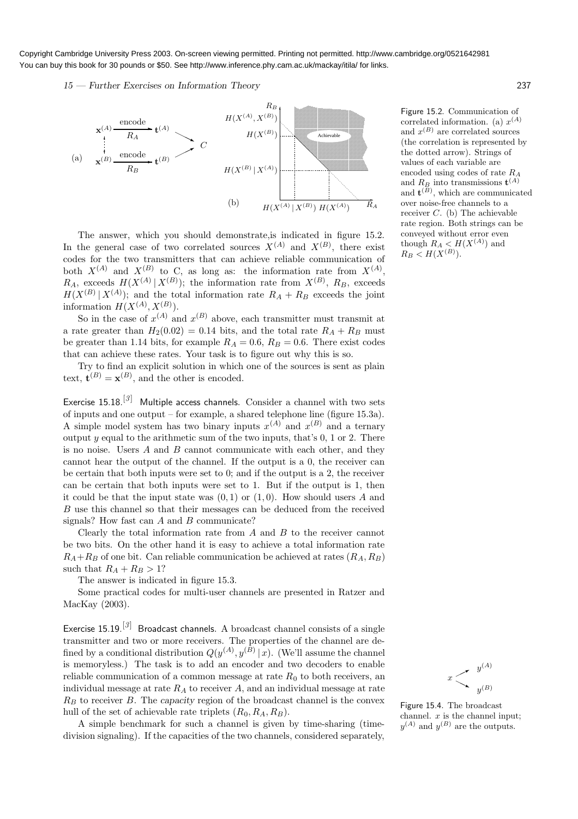15 — Further Exercises on Information Theory 237



The answer, which you should demonstrate,is indicated in figure 15.2. In the general case of two correlated sources  $X^{(A)}$  and  $X^{(B)}$ , there exist codes for the two transmitters that can achieve reliable communication of both  $X^{(A)}$  and  $X^{(B)}$  to C, as long as: the information rate from  $X^{(A)}$ ,  $R_A$ , exceeds  $H(X^{(A)} | X^{(B)})$ ; the information rate from  $X^{(B)}$ ,  $R_B$ , exceeds  $H(X^{(B)} | X^{(A)})$ ; and the total information rate  $R_A + R_B$  exceeds the joint information  $H(X^{(A)}, X^{(B)})$ .

So in the case of  $x^{(A)}$  and  $x^{(B)}$  above, each transmitter must transmit at a rate greater than  $H_2(0.02) = 0.14$  bits, and the total rate  $R_A + R_B$  must be greater than 1.14 bits, for example  $R_A = 0.6$ ,  $R_B = 0.6$ . There exist codes that can achieve these rates. Your task is to figure out why this is so.

Try to find an explicit solution in which one of the sources is sent as plain text,  $\mathbf{t}^{(B)} = \mathbf{x}^{(B)}$ , and the other is encoded.

Exercise 15.18.<sup>[3]</sup> Multiple access channels. Consider a channel with two sets of inputs and one output – for example, a shared telephone line (figure 15.3a). A simple model system has two binary inputs  $x^{(A)}$  and  $x^{(B)}$  and a ternary output  $y$  equal to the arithmetic sum of the two inputs, that's  $0, 1$  or  $2$ . There is no noise. Users  $A$  and  $B$  cannot communicate with each other, and they cannot hear the output of the channel. If the output is a 0, the receiver can be certain that both inputs were set to 0; and if the output is a 2, the receiver can be certain that both inputs were set to 1. But if the output is 1, then it could be that the input state was  $(0, 1)$  or  $(1, 0)$ . How should users A and B use this channel so that their messages can be deduced from the received signals? How fast can A and B communicate?

Clearly the total information rate from  $A$  and  $B$  to the receiver cannot be two bits. On the other hand it is easy to achieve a total information rate  $R_A+R_B$  of one bit. Can reliable communication be achieved at rates  $(R_A, R_B)$ such that  $R_A + R_B > 1$ ?

The answer is indicated in figure 15.3.

Some practical codes for multi-user channels are presented in Ratzer and MacKay (2003).

Exercise 15.19.<sup>[3]</sup> Broadcast channels. A broadcast channel consists of a single transmitter and two or more receivers. The properties of the channel are defined by a conditional distribution  $Q(y^{(A)}, y^{(B)} | x)$ . (We'll assume the channel is memoryless.) The task is to add an encoder and two decoders to enable reliable communication of a common message at rate  $R_0$  to both receivers, an individual message at rate  $R_A$  to receiver A, and an individual message at rate  $R_B$  to receiver  $B$ . The capacity region of the broadcast channel is the convex hull of the set of achievable rate triplets  $(R_0, R_A, R_B)$ .

A simple benchmark for such a channel is given by time-sharing (timedivision signaling). If the capacities of the two channels, considered separately, Figure 15.2. Communication of correlated information. (a)  $x^{(A)}$ and  $x^{(B)}$  are correlated sources (the correlation is represented by the dotted arrow). Strings of values of each variable are encoded using codes of rate  $R_A$ and  $R_B$  into transmissions  $\mathbf{t}^{(A)}$ and  $\mathbf{t}^{(B)}$ , which are communicated over noise-free channels to a receiver C. (b) The achievable rate region. Both strings can be conveyed without error even though  $R_A < H(X^{(A)})$  and  $R_B < H(X^{(B)})$ .



Figure 15.4. The broadcast channel.  $x$  is the channel input;  $y^{(A)}$  and  $y^{(B)}$  are the outputs.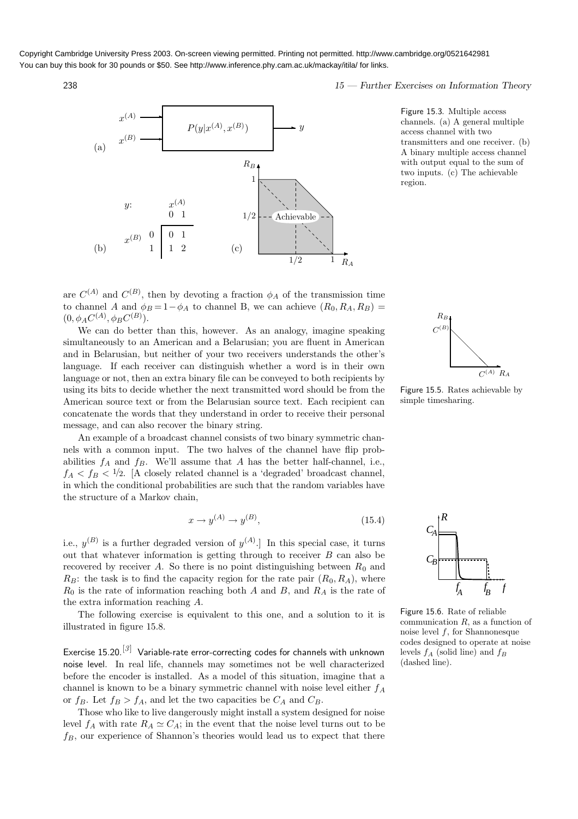

238 15 — Further Exercises on Information Theory



Figure 15.3. Multiple access channels. (a) A general multiple access channel with two transmitters and one receiver. (b) A binary multiple access channel with output equal to the sum of two inputs. (c) The achievable region.

are  $C^{(A)}$  and  $C^{(B)}$ , then by devoting a fraction  $\phi_A$  of the transmission time to channel A and  $\phi_B = 1 - \phi_A$  to channel B, we can achieve  $(R_0, R_A, R_B)$  =  $(0, \phi_A C^{(A)}, \phi_B C^{(B)}).$ 

We can do better than this, however. As an analogy, imagine speaking simultaneously to an American and a Belarusian; you are fluent in American and in Belarusian, but neither of your two receivers understands the other's language. If each receiver can distinguish whether a word is in their own language or not, then an extra binary file can be conveyed to both recipients by using its bits to decide whether the next transmitted word should be from the American source text or from the Belarusian source text. Each recipient can concatenate the words that they understand in order to receive their personal message, and can also recover the binary string.

An example of a broadcast channel consists of two binary symmetric channels with a common input. The two halves of the channel have flip probabilities  $f_A$  and  $f_B$ . We'll assume that A has the better half-channel, i.e.,  $f_A < f_B < 1/2$ . [A closely related channel is a 'degraded' broadcast channel, in which the conditional probabilities are such that the random variables have the structure of a Markov chain,

$$
x \to y^{(A)} \to y^{(B)},\tag{15.4}
$$

i.e.,  $y^{(B)}$  is a further degraded version of  $y^{(A)}$ . In this special case, it turns out that whatever information is getting through to receiver  $B$  can also be recovered by receiver A. So there is no point distinguishing between  $R_0$  and  $R_B$ : the task is to find the capacity region for the rate pair  $(R_0, R_A)$ , where  $R_0$  is the rate of information reaching both A and B, and  $R_A$  is the rate of the extra information reaching A.

The following exercise is equivalent to this one, and a solution to it is illustrated in figure 15.8.

Exercise 15.20.<sup>[3]</sup> Variable-rate error-correcting codes for channels with unknown noise level. In real life, channels may sometimes not be well characterized before the encoder is installed. As a model of this situation, imagine that a channel is known to be a binary symmetric channel with noise level either  $f_A$ or  $f_B$ . Let  $f_B > f_A$ , and let the two capacities be  $C_A$  and  $C_B$ .

Those who like to live dangerously might install a system designed for noise level  $f_A$  with rate  $R_A \simeq C_A$ ; in the event that the noise level turns out to be  $f_B$ , our experience of Shannon's theories would lead us to expect that there



Figure 15.5. Rates achievable by simple timesharing.



Figure 15.6. Rate of reliable communication  $R$ , as a function of noise level  $f$ , for Shannonesque codes designed to operate at noise levels  $f_A$  (solid line) and  $f_B$ (dashed line).